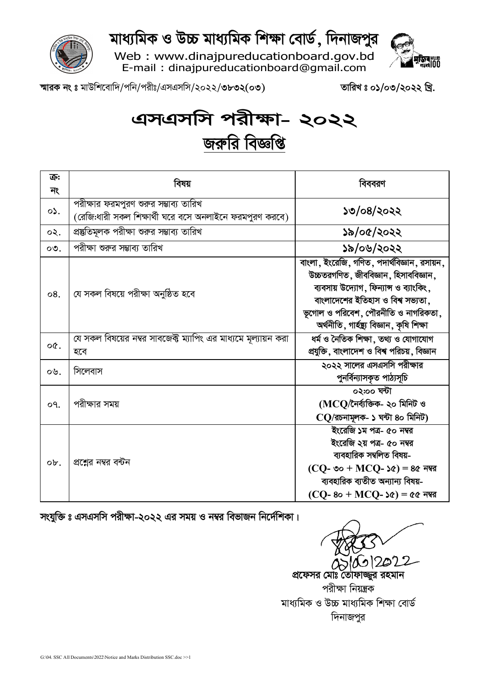

মাধ্যমিক ও উচ্চ মাধ্যমিক শিক্ষা বোর্ড, দিনাজপুর

Web: www.dinajpureducationboard.gov.bd E-mail: dinajpureducationboard@gmail.com



স্মারক নং ঃ মাউশিবোদি/পনি/পরীঃ/এসএসসি/২০২২/৩৮৩২(০৩)

তারিখঃ ০১/০৩/২০২২ খ্রি.

## এসএসসি পরীক্ষা- ২০২২ জরুরি বিজ্ঞপ্তি

| ক্র:                  | বিষয়                                                                                            | বিববরণ                                                                                                                                                                                                                                                  |  |  |
|-----------------------|--------------------------------------------------------------------------------------------------|---------------------------------------------------------------------------------------------------------------------------------------------------------------------------------------------------------------------------------------------------------|--|--|
| নং                    |                                                                                                  |                                                                                                                                                                                                                                                         |  |  |
| $\circ \mathcal{L}$ . | পরীক্ষার ফরমপুরণ শুরুর সম্ভাব্য তারিখ<br>(রেজি:ধারী সকল শিক্ষার্থী ঘরে বসে অনলাইনে ফরমপুরণ করবে) | ১৩/০৪/২০২২                                                                                                                                                                                                                                              |  |  |
| ০২.                   | প্রস্তুতিমূলক পরীক্ষা শুরুর সম্ভাব্য তারিখ                                                       | ১৯/০৫/২০২২                                                                                                                                                                                                                                              |  |  |
| $\circ$ .             | পরীক্ষা শুরুর সম্ভাব্য তারিখ                                                                     | ১৯/০৬/২০২২                                                                                                                                                                                                                                              |  |  |
| 08.                   | যে সকল বিষয়ে পরীক্ষা অনুষ্ঠিত হবে                                                               | বাংলা, ইংরেজি, গণিত, পদার্থবিজ্ঞান, রসায়ন,<br>উচ্চতরগণিত, জীববিজ্ঞান, হিসাববিজ্ঞান,<br>ব্যবসায় উদ্যোগ, ফিন্যান্স ও ব্যাংকিং,<br>বাংলাদেশের ইতিহাস ও বিশ্ব সভ্যতা,<br>ভূগোল ও পরিবেশ, পৌরনীতি ও নাগরিকতা,<br>অৰ্থনীতি, গাৰ্হস্থ্য বিজ্ঞান, কৃষি শিক্ষা |  |  |
| oQ.                   | যে সকল বিষয়ের নম্বর সাবজেক্ট ম্যাপিং এর মাধ্যমে মূল্যায়ন করা<br>হবে                            | ধৰ্ম ও নৈতিক শিক্ষা, তথ্য ও যোগাযোগ<br>প্রযুক্তি, বাংলাদেশ ও বিশ্ব পরিচয়, বিজ্ঞান                                                                                                                                                                      |  |  |
| ০৬.                   | সিলেবাস                                                                                          | ২০২২ সালের এসএসসি পরীক্ষার<br>পুনর্বিন্যাসকৃত পাঠ্যসূচি                                                                                                                                                                                                 |  |  |
| o٩.                   | পরীক্ষার সময়                                                                                    | ০২:০০ ঘন্টা<br>(MCQ/নৈৰ্ব্যক্তিক- ২০ মিনিট ও<br>$CO$ /রচনামূলক- ১ ঘন্টা ৪০ মিনিট)                                                                                                                                                                       |  |  |
| ob.                   | প্রশ্নের নম্বর বন্টন                                                                             | ইংরেজি ১ম পত্র- ৫০ নম্বর<br>ইংরেজি ২য় পত্র- ৫০ নম্বর<br>ব্যবহারিক সম্বলিত বিষয়-<br>$(CQ - \infty - MCQ - \infty) = 8c$ নম্বর<br>ব্যবহারিক ব্যতীত অন্যান্য বিষয়-<br>$(CQ-80+MCQ-50) = 0$ নম্বর                                                        |  |  |

সংযুক্তি ঃ এসএসসি পরীক্ষা-২০২২ এর সময় ও নম্বর বিভাজন নির্দেশিকা।

אודי

প্রফেসর মোঃ তোফাজ্জর রহমান পরীক্ষা নিয়ন্ত্রক মাধ্যমিক ও উচ্চ মাধ্যমিক শিক্ষা বোর্ড দিনাজপুর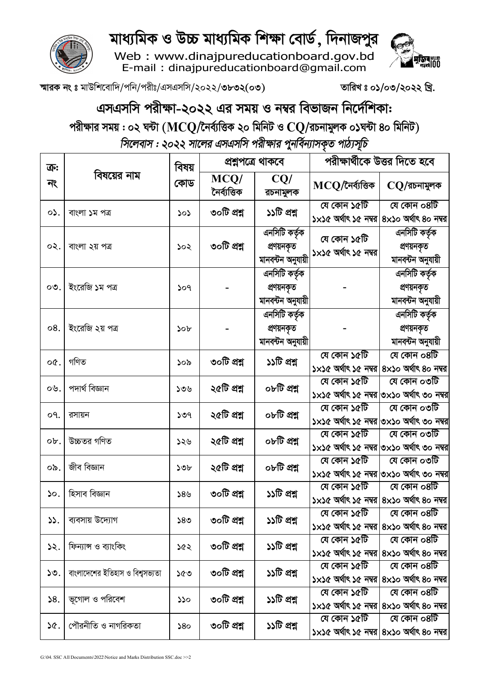

## মাধ্যমিক ও উচ্চ মাধ্যমিক শিক্ষা বোর্ড, দিনাজপুর

Web: www.dinajpureducationboard.gov.bd<br>E-mail: dinajpureducationboard@gmail.com



স্মারক নং ঃ মাউশিবোদি/পনি/পরীঃ/এসএসসি/২০২২/৩৮৩২(০৩)

তারিখঃ ০১/০৩/২০২২ খ্রি.

## এসএসসি পরীক্ষা-২০২২ এর সময় ও নম্বর বিভাজন নির্দেশিকা:

পরীক্ষার সময় : ০২ ঘন্টা ( $\bf{M} \bf{C} \bf{Q} /$ নৈর্ব্যত্তিক ২০ মিনিট ও  $\bf{C} \bf{Q} /$ রচনামুলক ০১ঘন্টা ৪০ মিনিট)

সিলেবাস : ২০২২ সালের এসএসসি পরীক্ষার পুনর্বিন্যাসকৃত পাঠ্যসূচি

| ক্র:<br>নং | বিষয়ের নাম                     | বিষয়<br>কোড    | প্ৰশ্নপত্ৰে থাকবে    |                                                  | পরীক্ষার্থীকে উত্তর দিতে হবে                             |                                                                                      |
|------------|---------------------------------|-----------------|----------------------|--------------------------------------------------|----------------------------------------------------------|--------------------------------------------------------------------------------------|
|            |                                 |                 | MCQ/<br>নৈৰ্ব্যত্তিক | CQ/<br>রচনামুলক                                  | MCQ/নৈৰ্ব্যত্তিক                                         | $CQ/$ রচনামুলক                                                                       |
| $\circ$ .  | বাংলা ১ম পত্র                   | ১০১             | ৩০টি প্রশ্ন          | ১১টি প্রশ্ন                                      | যে কোন ১৫টি<br>১×১৫ অৰ্থাৎ ১৫ নম্বর 8×১০ অৰ্থাৎ ৪০ নম্বর | যে কোন ০৪টি                                                                          |
| ০২.        | বাংলা ২য় পত্ৰ                  | ১০২             | ৩০টি প্রশ্ন          | এনসিটি কর্তৃক<br>প্রণয়নকৃত<br>মানবন্টন অনুযায়ী | যে কোন ১৫টি<br>১×১৫ অর্থাৎ ১৫ নম্বর                      | এনসিটি কর্তৃক<br>প্ৰণয়নকৃত<br>মানবন্টন অনুযায়ী                                     |
| $\circ$ .  | ইংরেজি ১ম পত্র                  | 509             |                      | এনসিটি কর্তৃক<br>প্রণয়নকৃত<br>মানবন্টন অনুযায়ী |                                                          | এনসিটি কর্তৃক<br>প্রণয়নকৃত<br>মানবন্টন অনুযায়ী                                     |
| 08.        | ইংরেজি ২য় পত্র                 | 50 <sub>b</sub> |                      | এনসিটি কর্তৃক<br>প্রণয়নকৃত<br>মানবন্টন অনুযায়ী |                                                          | এনসিটি কর্তৃক<br>প্রণয়নকৃত<br>মানবন্টন অনুযায়ী                                     |
| o¢.        | গণিত                            | ১০৯             | ৩০টি প্রশ্ন          | ১১টি প্রশ্ন                                      | যে কোন ১৫টি                                              | যে কোন ০৪টি<br>১×১৫ অৰ্থাৎ ১৫ নম্বর 8×১০ অৰ্থাৎ ৪০ নম্বর                             |
| ০৬.        | পদাৰ্থ বিজ্ঞান                  | ১৩৬             | ২৫টি প্রশ্ন          | ০৮টি প্ৰশ্ন                                      | যে কোন ১৫টি                                              | যে কোন ০৩টি<br>১x১৫ অৰ্থাৎ ১৫ নম্বর ৩x১০ অৰ্থাৎ ৩০ নম্বর                             |
| o٩.        | রসায়ন                          | ১৩৭             | ২৫টি প্রশ্ন          | ০৮টি প্ৰশ্ন                                      | যে কোন ১৫টি                                              | যে কোন ০৩টি<br>১×১৫ অৰ্থাৎ ১৫ নম্বর $\circ$ ×১০ অৰ্থাৎ ৩০ নম্বর                      |
| ob.        | উচ্চতর গণিত                     | ১২৬             | ২৫টি প্রশ্ন          | ০৮টি প্ৰশ্ন                                      | যে কোন ১৫টি                                              | যে কোন ০৩টি<br>১x১৫ অৰ্থাৎ ১৫ নম্বর ৩x১০ অৰ্থাৎ ৩০ নম্বর                             |
| ০৯.        | জীব বিজ্ঞান                     | ১৩৮             | ২৫টি প্রশ্ন          | ০৮টি প্রশ্ন                                      | যে কোন ১৫টি                                              | যে কোন ০৩টি<br>১x১৫ অৰ্থাৎ ১৫ নম্বর ৩x১০ অৰ্থাৎ ৩০ নম্বর                             |
| 50.        | হিসাব বিজ্ঞান                   | $58$ ৬          | ৩০টি প্ৰশ্ন          | ১১টি প্রশ্ন                                      | যে কোন ১৫টি                                              | যে কোন ০৪টি<br>১×১৫ অৰ্থাৎ ১৫ নম্বর 8×১০ অৰ্থাৎ ৪০ নম্বর                             |
| ১১.        | ব্যবসায় উদ্যোগ                 | ১৪৩             | ৩০টি প্ৰশ্ন          | ১১টি প্রশ্ন                                      | যে কোন ১৫টি                                              | যে কোন ০৪টি<br>১×১৫ অর্থাৎ ১৫ নম্বর ৪×১০ অর্থাৎ ৪০ নম্বর                             |
| ১২.        | ফিন্যান্স ও ব্যাংকিং            | ১৫২             | ৩০টি প্রশ্ন          | ১১টি প্রশ্ন                                      | যে কোন ১৫টি                                              | যে কোন ০৪টি<br>১ $\times$ ১৫ অর্থাৎ ১৫ নম্বর $ 8\times$ ১০ অর্থাৎ ৪০ নম্বর           |
| ১৩.        | বাংলাদেশের ইতিহাস ও বিশ্বসভ্যতা | ১৫৩             | ৩০টি প্ৰশ্ন          | ১১টি প্রশ্ন                                      | যে কোন ১৫টি                                              | যে কোন ০৪টি<br>১ $\times$ ১৫ অর্থাৎ ১৫ নম্বর $ 8\times$ ১০ অর্থাৎ ৪০ নম্বর           |
| 58.        | ভূগোল ও পরিবেশ                  | ১১০             | ৩০টি প্ৰশ্ন          | ১১টি প্রশ্ন                                      | যে কোন ১৫টি                                              | যে কোন $\overline{\mathrm{OB}}$<br>১×১৫ অর্থাৎ ১৫ নম্বর $8\times$ ১০ অর্থাৎ ৪০ নম্বর |
| ১৫.        | পৌরনীতি ও নাগরিকতা              | 580             | ৩০টি প্ৰশ্ন          | ১১টি প্রশ্ন                                      | যে কোন ১৫টি                                              | যে কোন ০৪টি<br>১ $\times$ ১৫ অর্থাৎ ১৫ নম্বর $ 8\times$ ১০ অর্থাৎ ৪০ নম্বর           |